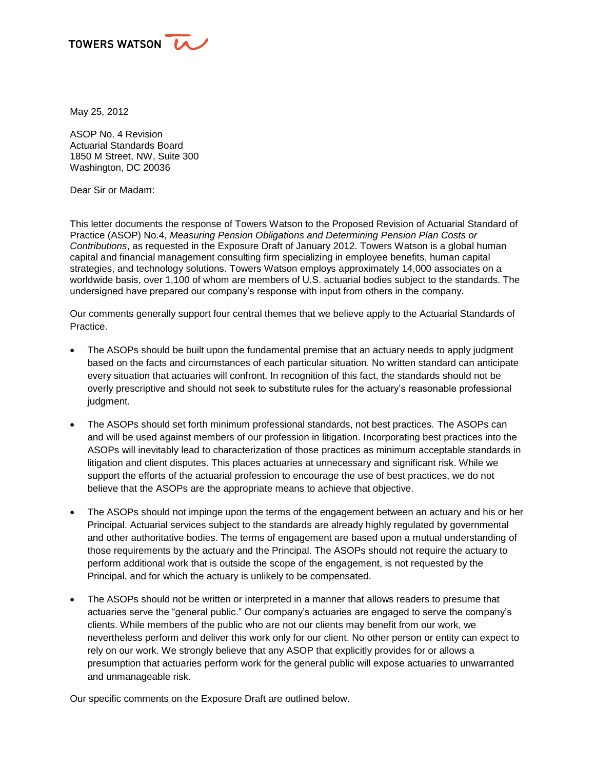

May 25, 2012

ASOP No. 4 Revision Actuarial Standards Board 1850 M Street, NW, Suite 300 Washington, DC 20036

Dear Sir or Madam:

This letter documents the response of Towers Watson to the Proposed Revision of Actuarial Standard of Practice (ASOP) No.4, *Measuring Pension Obligations and Determining Pension Plan Costs or Contributions*, as requested in the Exposure Draft of January 2012. Towers Watson is a global human capital and financial management consulting firm specializing in employee benefits, human capital strategies, and technology solutions. Towers Watson employs approximately 14,000 associates on a worldwide basis, over 1,100 of whom are members of U.S. actuarial bodies subject to the standards. The undersigned have prepared our company's response with input from others in the company.

Our comments generally support four central themes that we believe apply to the Actuarial Standards of Practice.

- The ASOPs should be built upon the fundamental premise that an actuary needs to apply judgment based on the facts and circumstances of each particular situation. No written standard can anticipate every situation that actuaries will confront. In recognition of this fact, the standards should not be overly prescriptive and should not seek to substitute rules for the actuary's reasonable professional judgment.
- The ASOPs should set forth minimum professional standards, not best practices. The ASOPs can and will be used against members of our profession in litigation. Incorporating best practices into the ASOPs will inevitably lead to characterization of those practices as minimum acceptable standards in litigation and client disputes. This places actuaries at unnecessary and significant risk. While we support the efforts of the actuarial profession to encourage the use of best practices, we do not believe that the ASOPs are the appropriate means to achieve that objective.
- The ASOPs should not impinge upon the terms of the engagement between an actuary and his or her Principal. Actuarial services subject to the standards are already highly regulated by governmental and other authoritative bodies. The terms of engagement are based upon a mutual understanding of those requirements by the actuary and the Principal. The ASOPs should not require the actuary to perform additional work that is outside the scope of the engagement, is not requested by the Principal, and for which the actuary is unlikely to be compensated.
- The ASOPs should not be written or interpreted in a manner that allows readers to presume that actuaries serve the "general public." Our company's actuaries are engaged to serve the company's clients. While members of the public who are not our clients may benefit from our work, we nevertheless perform and deliver this work only for our client. No other person or entity can expect to rely on our work. We strongly believe that any ASOP that explicitly provides for or allows a presumption that actuaries perform work for the general public will expose actuaries to unwarranted and unmanageable risk.

Our specific comments on the Exposure Draft are outlined below.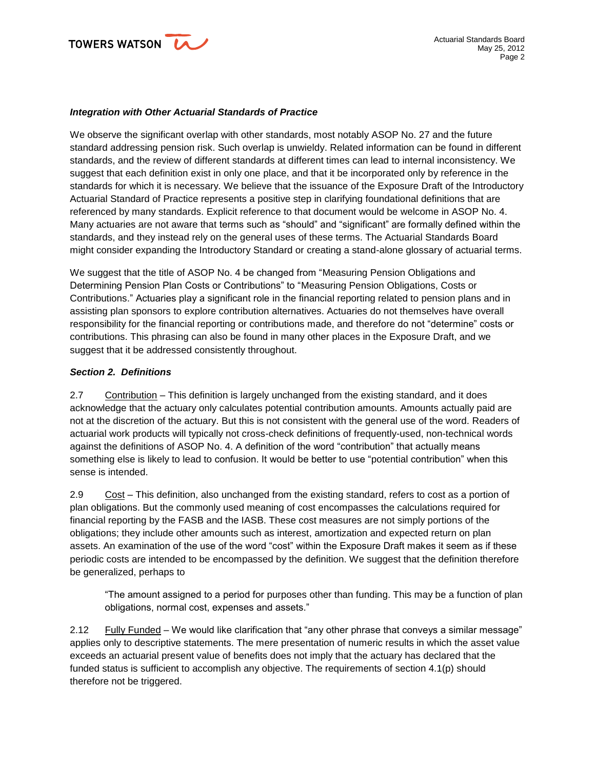

#### *Integration with Other Actuarial Standards of Practice*

We observe the significant overlap with other standards, most notably ASOP No. 27 and the future standard addressing pension risk. Such overlap is unwieldy. Related information can be found in different standards, and the review of different standards at different times can lead to internal inconsistency. We suggest that each definition exist in only one place, and that it be incorporated only by reference in the standards for which it is necessary. We believe that the issuance of the Exposure Draft of the Introductory Actuarial Standard of Practice represents a positive step in clarifying foundational definitions that are referenced by many standards. Explicit reference to that document would be welcome in ASOP No. 4. Many actuaries are not aware that terms such as "should" and "significant" are formally defined within the standards, and they instead rely on the general uses of these terms. The Actuarial Standards Board might consider expanding the Introductory Standard or creating a stand-alone glossary of actuarial terms.

We suggest that the title of ASOP No. 4 be changed from "Measuring Pension Obligations and Determining Pension Plan Costs or Contributions" to "Measuring Pension Obligations, Costs or Contributions." Actuaries play a significant role in the financial reporting related to pension plans and in assisting plan sponsors to explore contribution alternatives. Actuaries do not themselves have overall responsibility for the financial reporting or contributions made, and therefore do not "determine" costs or contributions. This phrasing can also be found in many other places in the Exposure Draft, and we suggest that it be addressed consistently throughout.

### *Section 2. Definitions*

2.7 Contribution – This definition is largely unchanged from the existing standard, and it does acknowledge that the actuary only calculates potential contribution amounts. Amounts actually paid are not at the discretion of the actuary. But this is not consistent with the general use of the word. Readers of actuarial work products will typically not cross-check definitions of frequently-used, non-technical words against the definitions of ASOP No. 4. A definition of the word "contribution" that actually means something else is likely to lead to confusion. It would be better to use "potential contribution" when this sense is intended.

2.9 Cost – This definition, also unchanged from the existing standard, refers to cost as a portion of plan obligations. But the commonly used meaning of cost encompasses the calculations required for financial reporting by the FASB and the IASB. These cost measures are not simply portions of the obligations; they include other amounts such as interest, amortization and expected return on plan assets. An examination of the use of the word "cost" within the Exposure Draft makes it seem as if these periodic costs are intended to be encompassed by the definition. We suggest that the definition therefore be generalized, perhaps to

"The amount assigned to a period for purposes other than funding. This may be a function of plan obligations, normal cost, expenses and assets."

2.12 Fully Funded – We would like clarification that "any other phrase that conveys a similar message" applies only to descriptive statements. The mere presentation of numeric results in which the asset value exceeds an actuarial present value of benefits does not imply that the actuary has declared that the funded status is sufficient to accomplish any objective. The requirements of section 4.1(p) should therefore not be triggered.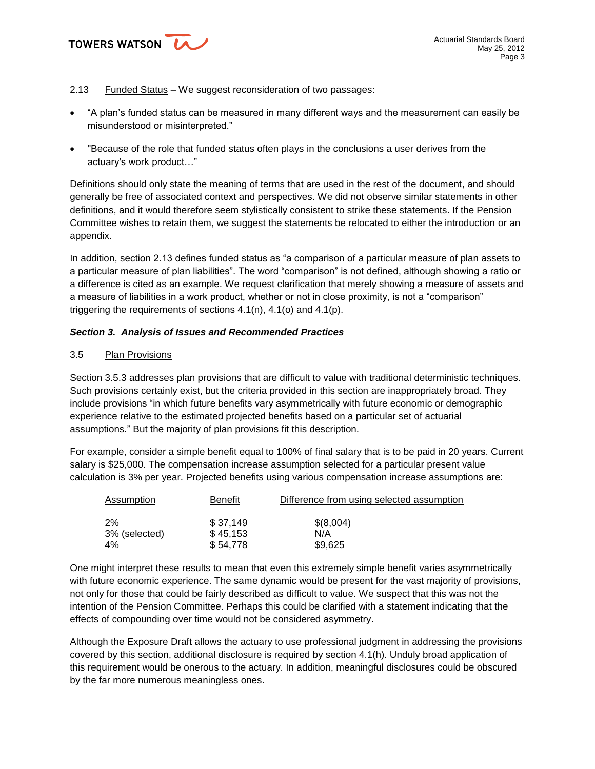

### 2.13 Funded Status - We suggest reconsideration of two passages:

- "A plan's funded status can be measured in many different ways and the measurement can easily be misunderstood or misinterpreted."
- "Because of the role that funded status often plays in the conclusions a user derives from the actuary's work product…"

Definitions should only state the meaning of terms that are used in the rest of the document, and should generally be free of associated context and perspectives. We did not observe similar statements in other definitions, and it would therefore seem stylistically consistent to strike these statements. If the Pension Committee wishes to retain them, we suggest the statements be relocated to either the introduction or an appendix.

In addition, section 2.13 defines funded status as "a comparison of a particular measure of plan assets to a particular measure of plan liabilities". The word "comparison" is not defined, although showing a ratio or a difference is cited as an example. We request clarification that merely showing a measure of assets and a measure of liabilities in a work product, whether or not in close proximity, is not a "comparison" triggering the requirements of sections 4.1(n), 4.1(o) and 4.1(p).

### *Section 3. Analysis of Issues and Recommended Practices*

### 3.5 Plan Provisions

Section 3.5.3 addresses plan provisions that are difficult to value with traditional deterministic techniques. Such provisions certainly exist, but the criteria provided in this section are inappropriately broad. They include provisions "in which future benefits vary asymmetrically with future economic or demographic experience relative to the estimated projected benefits based on a particular set of actuarial assumptions." But the majority of plan provisions fit this description.

For example, consider a simple benefit equal to 100% of final salary that is to be paid in 20 years. Current salary is \$25,000. The compensation increase assumption selected for a particular present value calculation is 3% per year. Projected benefits using various compensation increase assumptions are:

| Assumption    | Benefit  | Difference from using selected assumption |
|---------------|----------|-------------------------------------------|
| 2%            | \$37.149 | \$(8,004)                                 |
| 3% (selected) | \$45.153 | N/A                                       |
| 4%            | \$54.778 | \$9,625                                   |

One might interpret these results to mean that even this extremely simple benefit varies asymmetrically with future economic experience. The same dynamic would be present for the vast majority of provisions, not only for those that could be fairly described as difficult to value. We suspect that this was not the intention of the Pension Committee. Perhaps this could be clarified with a statement indicating that the effects of compounding over time would not be considered asymmetry.

Although the Exposure Draft allows the actuary to use professional judgment in addressing the provisions covered by this section, additional disclosure is required by section 4.1(h). Unduly broad application of this requirement would be onerous to the actuary. In addition, meaningful disclosures could be obscured by the far more numerous meaningless ones.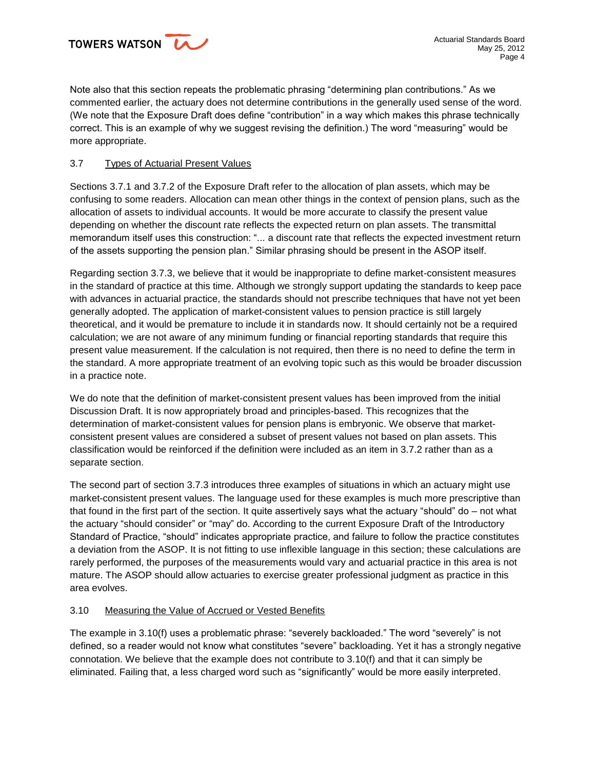Note also that this section repeats the problematic phrasing "determining plan contributions." As we commented earlier, the actuary does not determine contributions in the generally used sense of the word. (We note that the Exposure Draft does define "contribution" in a way which makes this phrase technically correct. This is an example of why we suggest revising the definition.) The word "measuring" would be more appropriate.

# 3.7 Types of Actuarial Present Values

Sections 3.7.1 and 3.7.2 of the Exposure Draft refer to the allocation of plan assets, which may be confusing to some readers. Allocation can mean other things in the context of pension plans, such as the allocation of assets to individual accounts. It would be more accurate to classify the present value depending on whether the discount rate reflects the expected return on plan assets. The transmittal memorandum itself uses this construction: "... a discount rate that reflects the expected investment return of the assets supporting the pension plan." Similar phrasing should be present in the ASOP itself.

Regarding section 3.7.3, we believe that it would be inappropriate to define market-consistent measures in the standard of practice at this time. Although we strongly support updating the standards to keep pace with advances in actuarial practice, the standards should not prescribe techniques that have not yet been generally adopted. The application of market-consistent values to pension practice is still largely theoretical, and it would be premature to include it in standards now. It should certainly not be a required calculation; we are not aware of any minimum funding or financial reporting standards that require this present value measurement. If the calculation is not required, then there is no need to define the term in the standard. A more appropriate treatment of an evolving topic such as this would be broader discussion in a practice note.

We do note that the definition of market-consistent present values has been improved from the initial Discussion Draft. It is now appropriately broad and principles-based. This recognizes that the determination of market-consistent values for pension plans is embryonic. We observe that marketconsistent present values are considered a subset of present values not based on plan assets. This classification would be reinforced if the definition were included as an item in 3.7.2 rather than as a separate section.

The second part of section 3.7.3 introduces three examples of situations in which an actuary might use market-consistent present values. The language used for these examples is much more prescriptive than that found in the first part of the section. It quite assertively says what the actuary "should" do – not what the actuary "should consider" or "may" do. According to the current Exposure Draft of the Introductory Standard of Practice, "should" indicates appropriate practice, and failure to follow the practice constitutes a deviation from the ASOP. It is not fitting to use inflexible language in this section; these calculations are rarely performed, the purposes of the measurements would vary and actuarial practice in this area is not mature. The ASOP should allow actuaries to exercise greater professional judgment as practice in this area evolves.

# 3.10 Measuring the Value of Accrued or Vested Benefits

The example in 3.10(f) uses a problematic phrase: "severely backloaded." The word "severely" is not defined, so a reader would not know what constitutes "severe" backloading. Yet it has a strongly negative connotation. We believe that the example does not contribute to 3.10(f) and that it can simply be eliminated. Failing that, a less charged word such as "significantly" would be more easily interpreted.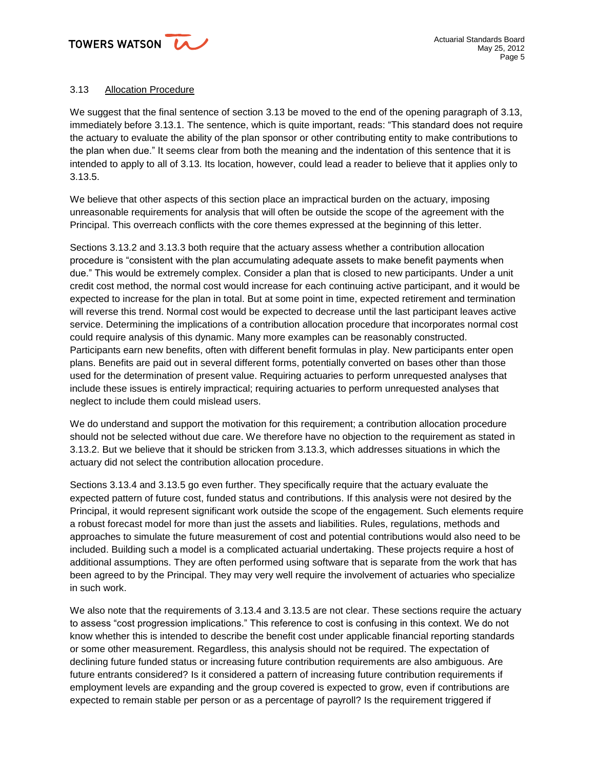

# 3.13 Allocation Procedure

We suggest that the final sentence of section 3.13 be moved to the end of the opening paragraph of 3.13, immediately before 3.13.1. The sentence, which is quite important, reads: "This standard does not require the actuary to evaluate the ability of the plan sponsor or other contributing entity to make contributions to the plan when due." It seems clear from both the meaning and the indentation of this sentence that it is intended to apply to all of 3.13. Its location, however, could lead a reader to believe that it applies only to 3.13.5.

We believe that other aspects of this section place an impractical burden on the actuary, imposing unreasonable requirements for analysis that will often be outside the scope of the agreement with the Principal. This overreach conflicts with the core themes expressed at the beginning of this letter.

Sections 3.13.2 and 3.13.3 both require that the actuary assess whether a contribution allocation procedure is "consistent with the plan accumulating adequate assets to make benefit payments when due." This would be extremely complex. Consider a plan that is closed to new participants. Under a unit credit cost method, the normal cost would increase for each continuing active participant, and it would be expected to increase for the plan in total. But at some point in time, expected retirement and termination will reverse this trend. Normal cost would be expected to decrease until the last participant leaves active service. Determining the implications of a contribution allocation procedure that incorporates normal cost could require analysis of this dynamic. Many more examples can be reasonably constructed. Participants earn new benefits, often with different benefit formulas in play. New participants enter open plans. Benefits are paid out in several different forms, potentially converted on bases other than those used for the determination of present value. Requiring actuaries to perform unrequested analyses that include these issues is entirely impractical; requiring actuaries to perform unrequested analyses that neglect to include them could mislead users.

We do understand and support the motivation for this requirement; a contribution allocation procedure should not be selected without due care. We therefore have no objection to the requirement as stated in 3.13.2. But we believe that it should be stricken from 3.13.3, which addresses situations in which the actuary did not select the contribution allocation procedure.

Sections 3.13.4 and 3.13.5 go even further. They specifically require that the actuary evaluate the expected pattern of future cost, funded status and contributions. If this analysis were not desired by the Principal, it would represent significant work outside the scope of the engagement. Such elements require a robust forecast model for more than just the assets and liabilities. Rules, regulations, methods and approaches to simulate the future measurement of cost and potential contributions would also need to be included. Building such a model is a complicated actuarial undertaking. These projects require a host of additional assumptions. They are often performed using software that is separate from the work that has been agreed to by the Principal. They may very well require the involvement of actuaries who specialize in such work.

We also note that the requirements of 3.13.4 and 3.13.5 are not clear. These sections require the actuary to assess "cost progression implications." This reference to cost is confusing in this context. We do not know whether this is intended to describe the benefit cost under applicable financial reporting standards or some other measurement. Regardless, this analysis should not be required. The expectation of declining future funded status or increasing future contribution requirements are also ambiguous. Are future entrants considered? Is it considered a pattern of increasing future contribution requirements if employment levels are expanding and the group covered is expected to grow, even if contributions are expected to remain stable per person or as a percentage of payroll? Is the requirement triggered if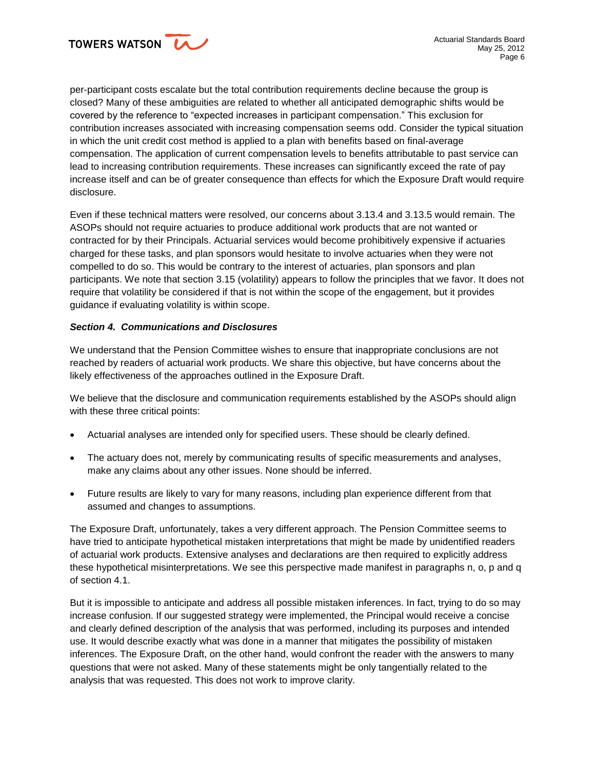per-participant costs escalate but the total contribution requirements decline because the group is closed? Many of these ambiguities are related to whether all anticipated demographic shifts would be covered by the reference to "expected increases in participant compensation." This exclusion for contribution increases associated with increasing compensation seems odd. Consider the typical situation in which the unit credit cost method is applied to a plan with benefits based on final-average compensation. The application of current compensation levels to benefits attributable to past service can lead to increasing contribution requirements. These increases can significantly exceed the rate of pay increase itself and can be of greater consequence than effects for which the Exposure Draft would require disclosure.

Even if these technical matters were resolved, our concerns about 3.13.4 and 3.13.5 would remain. The ASOPs should not require actuaries to produce additional work products that are not wanted or contracted for by their Principals. Actuarial services would become prohibitively expensive if actuaries charged for these tasks, and plan sponsors would hesitate to involve actuaries when they were not compelled to do so. This would be contrary to the interest of actuaries, plan sponsors and plan participants. We note that section 3.15 (volatility) appears to follow the principles that we favor. It does not require that volatility be considered if that is not within the scope of the engagement, but it provides guidance if evaluating volatility is within scope.

### *Section 4. Communications and Disclosures*

We understand that the Pension Committee wishes to ensure that inappropriate conclusions are not reached by readers of actuarial work products. We share this objective, but have concerns about the likely effectiveness of the approaches outlined in the Exposure Draft.

We believe that the disclosure and communication requirements established by the ASOPs should align with these three critical points:

- Actuarial analyses are intended only for specified users. These should be clearly defined.
- The actuary does not, merely by communicating results of specific measurements and analyses, make any claims about any other issues. None should be inferred.
- Future results are likely to vary for many reasons, including plan experience different from that assumed and changes to assumptions.

The Exposure Draft, unfortunately, takes a very different approach. The Pension Committee seems to have tried to anticipate hypothetical mistaken interpretations that might be made by unidentified readers of actuarial work products. Extensive analyses and declarations are then required to explicitly address these hypothetical misinterpretations. We see this perspective made manifest in paragraphs n, o, p and q of section 4.1.

But it is impossible to anticipate and address all possible mistaken inferences. In fact, trying to do so may increase confusion. If our suggested strategy were implemented, the Principal would receive a concise and clearly defined description of the analysis that was performed, including its purposes and intended use. It would describe exactly what was done in a manner that mitigates the possibility of mistaken inferences. The Exposure Draft, on the other hand, would confront the reader with the answers to many questions that were not asked. Many of these statements might be only tangentially related to the analysis that was requested. This does not work to improve clarity.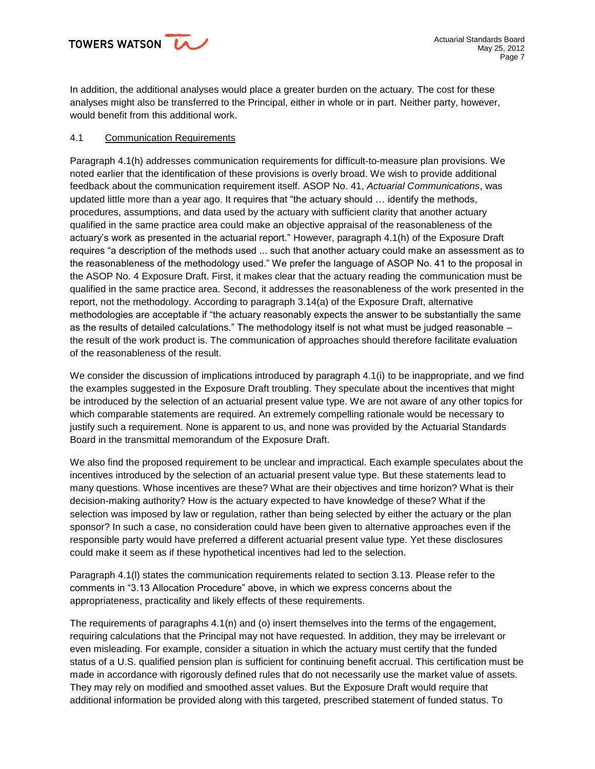In addition, the additional analyses would place a greater burden on the actuary. The cost for these analyses might also be transferred to the Principal, either in whole or in part. Neither party, however, would benefit from this additional work.

## 4.1 Communication Requirements

Paragraph 4.1(h) addresses communication requirements for difficult-to-measure plan provisions. We noted earlier that the identification of these provisions is overly broad. We wish to provide additional feedback about the communication requirement itself. ASOP No. 41, *Actuarial Communications*, was updated little more than a year ago. It requires that "the actuary should … identify the methods, procedures, assumptions, and data used by the actuary with sufficient clarity that another actuary qualified in the same practice area could make an objective appraisal of the reasonableness of the actuary's work as presented in the actuarial report." However, paragraph 4.1(h) of the Exposure Draft requires "a description of the methods used ... such that another actuary could make an assessment as to the reasonableness of the methodology used." We prefer the language of ASOP No. 41 to the proposal in the ASOP No. 4 Exposure Draft. First, it makes clear that the actuary reading the communication must be qualified in the same practice area. Second, it addresses the reasonableness of the work presented in the report, not the methodology. According to paragraph 3.14(a) of the Exposure Draft, alternative methodologies are acceptable if "the actuary reasonably expects the answer to be substantially the same as the results of detailed calculations." The methodology itself is not what must be judged reasonable – the result of the work product is. The communication of approaches should therefore facilitate evaluation of the reasonableness of the result.

We consider the discussion of implications introduced by paragraph 4.1(i) to be inappropriate, and we find the examples suggested in the Exposure Draft troubling. They speculate about the incentives that might be introduced by the selection of an actuarial present value type. We are not aware of any other topics for which comparable statements are required. An extremely compelling rationale would be necessary to justify such a requirement. None is apparent to us, and none was provided by the Actuarial Standards Board in the transmittal memorandum of the Exposure Draft.

We also find the proposed requirement to be unclear and impractical. Each example speculates about the incentives introduced by the selection of an actuarial present value type. But these statements lead to many questions. Whose incentives are these? What are their objectives and time horizon? What is their decision-making authority? How is the actuary expected to have knowledge of these? What if the selection was imposed by law or regulation, rather than being selected by either the actuary or the plan sponsor? In such a case, no consideration could have been given to alternative approaches even if the responsible party would have preferred a different actuarial present value type. Yet these disclosures could make it seem as if these hypothetical incentives had led to the selection.

Paragraph 4.1(l) states the communication requirements related to section 3.13. Please refer to the comments in "3.13 Allocation Procedure" above, in which we express concerns about the appropriateness, practicality and likely effects of these requirements.

The requirements of paragraphs 4.1(n) and (o) insert themselves into the terms of the engagement, requiring calculations that the Principal may not have requested. In addition, they may be irrelevant or even misleading. For example, consider a situation in which the actuary must certify that the funded status of a U.S. qualified pension plan is sufficient for continuing benefit accrual. This certification must be made in accordance with rigorously defined rules that do not necessarily use the market value of assets. They may rely on modified and smoothed asset values. But the Exposure Draft would require that additional information be provided along with this targeted, prescribed statement of funded status. To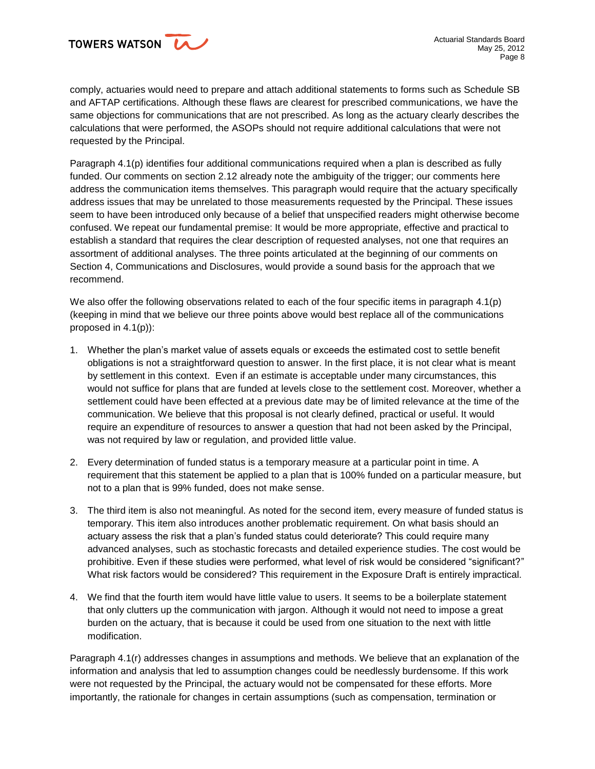

comply, actuaries would need to prepare and attach additional statements to forms such as Schedule SB and AFTAP certifications. Although these flaws are clearest for prescribed communications, we have the same objections for communications that are not prescribed. As long as the actuary clearly describes the calculations that were performed, the ASOPs should not require additional calculations that were not requested by the Principal.

Paragraph 4.1(p) identifies four additional communications required when a plan is described as fully funded. Our comments on section 2.12 already note the ambiguity of the trigger; our comments here address the communication items themselves. This paragraph would require that the actuary specifically address issues that may be unrelated to those measurements requested by the Principal. These issues seem to have been introduced only because of a belief that unspecified readers might otherwise become confused. We repeat our fundamental premise: It would be more appropriate, effective and practical to establish a standard that requires the clear description of requested analyses, not one that requires an assortment of additional analyses. The three points articulated at the beginning of our comments on Section 4, Communications and Disclosures, would provide a sound basis for the approach that we recommend.

We also offer the following observations related to each of the four specific items in paragraph 4.1(p) (keeping in mind that we believe our three points above would best replace all of the communications proposed in 4.1(p)):

- 1. Whether the plan's market value of assets equals or exceeds the estimated cost to settle benefit obligations is not a straightforward question to answer. In the first place, it is not clear what is meant by settlement in this context. Even if an estimate is acceptable under many circumstances, this would not suffice for plans that are funded at levels close to the settlement cost. Moreover, whether a settlement could have been effected at a previous date may be of limited relevance at the time of the communication. We believe that this proposal is not clearly defined, practical or useful. It would require an expenditure of resources to answer a question that had not been asked by the Principal, was not required by law or regulation, and provided little value.
- 2. Every determination of funded status is a temporary measure at a particular point in time. A requirement that this statement be applied to a plan that is 100% funded on a particular measure, but not to a plan that is 99% funded, does not make sense.
- 3. The third item is also not meaningful. As noted for the second item, every measure of funded status is temporary. This item also introduces another problematic requirement. On what basis should an actuary assess the risk that a plan's funded status could deteriorate? This could require many advanced analyses, such as stochastic forecasts and detailed experience studies. The cost would be prohibitive. Even if these studies were performed, what level of risk would be considered "significant?" What risk factors would be considered? This requirement in the Exposure Draft is entirely impractical.
- 4. We find that the fourth item would have little value to users. It seems to be a boilerplate statement that only clutters up the communication with jargon. Although it would not need to impose a great burden on the actuary, that is because it could be used from one situation to the next with little modification.

Paragraph 4.1(r) addresses changes in assumptions and methods. We believe that an explanation of the information and analysis that led to assumption changes could be needlessly burdensome. If this work were not requested by the Principal, the actuary would not be compensated for these efforts. More importantly, the rationale for changes in certain assumptions (such as compensation, termination or